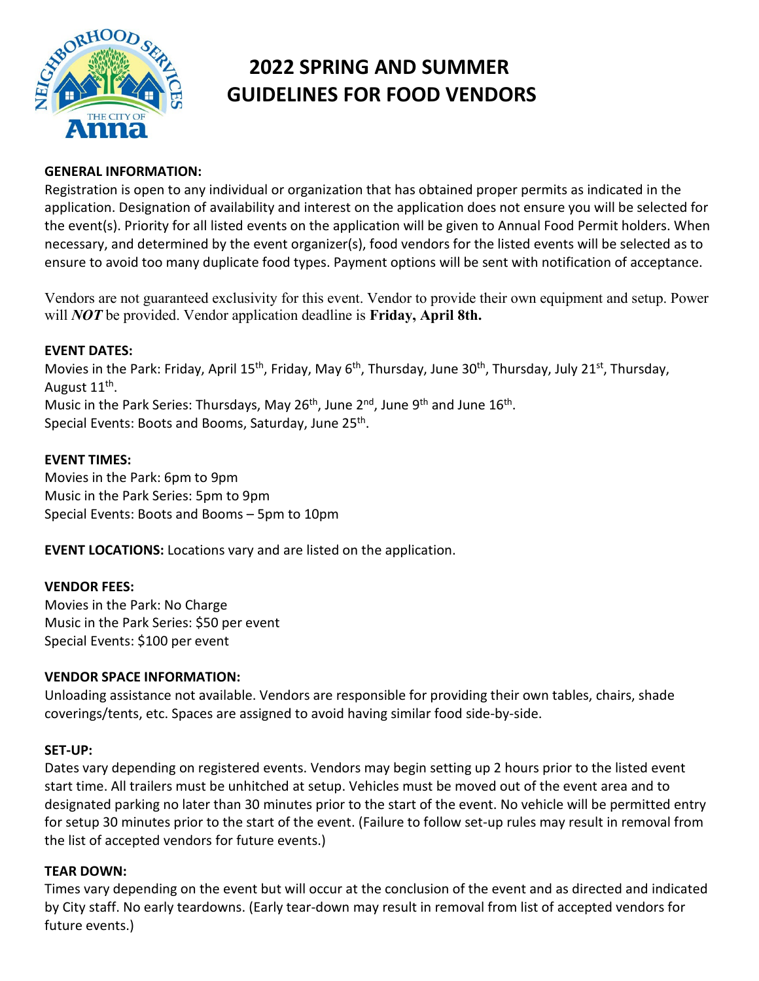

# **2022 SPRING AND SUMMER GUIDELINES FOR FOOD VENDORS**

#### **GENERAL INFORMATION:**

Registration is open to any individual or organization that has obtained proper permits as indicated in the application. Designation of availability and interest on the application does not ensure you will be selected for the event(s). Priority for all listed events on the application will be given to Annual Food Permit holders. When necessary, and determined by the event organizer(s), food vendors for the listed events will be selected as to ensure to avoid too many duplicate food types. Payment options will be sent with notification of acceptance.

Vendors are not guaranteed exclusivity for this event. Vendor to provide their own equipment and setup. Power will *NOT* be provided. Vendor application deadline is **Friday, April 8th.** 

# **EVENT DATES:**

Movies in the Park: Friday, April 15<sup>th</sup>, Friday, May 6<sup>th</sup>, Thursday, June 30<sup>th</sup>, Thursday, July 21<sup>st</sup>, Thursday, August 11<sup>th</sup>. Music in the Park Series: Thursdays, May  $26^{th}$ , June  $2^{nd}$ , June  $9^{th}$  and June  $16^{th}$ . Special Events: Boots and Booms, Saturday, June 25<sup>th</sup>.

#### **EVENT TIMES:**

Movies in the Park: 6pm to 9pm Music in the Park Series: 5pm to 9pm Special Events: Boots and Booms – 5pm to 10pm

**EVENT LOCATIONS:** Locations vary and are listed on the application.

#### **VENDOR FEES:**

Movies in the Park: No Charge Music in the Park Series: \$50 per event Special Events: \$100 per event

### **VENDOR SPACE INFORMATION:**

Unloading assistance not available. Vendors are responsible for providing their own tables, chairs, shade coverings/tents, etc. Spaces are assigned to avoid having similar food side-by-side.

#### **SET-UP:**

Dates vary depending on registered events. Vendors may begin setting up 2 hours prior to the listed event start time. All trailers must be unhitched at setup. Vehicles must be moved out of the event area and to designated parking no later than 30 minutes prior to the start of the event. No vehicle will be permitted entry for setup 30 minutes prior to the start of the event. (Failure to follow set-up rules may result in removal from the list of accepted vendors for future events.)

#### **TEAR DOWN:**

Times vary depending on the event but will occur at the conclusion of the event and as directed and indicated by City staff. No early teardowns. (Early tear-down may result in removal from list of accepted vendors for future events.)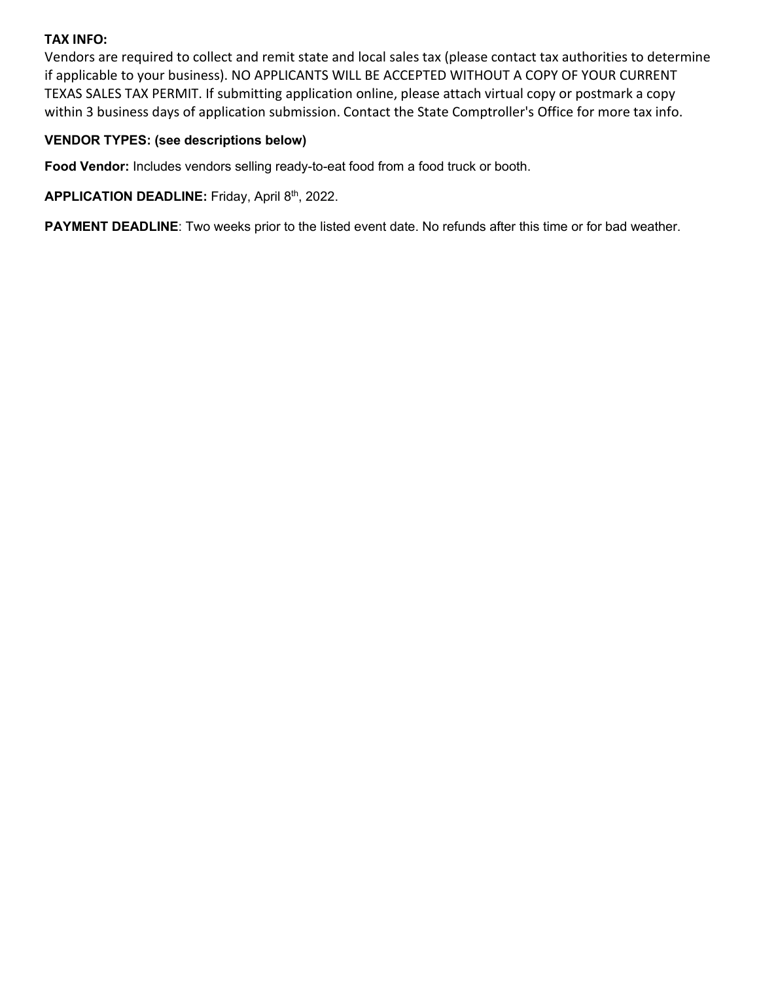# **TAX INFO:**

Vendors are required to collect and remit state and local sales tax (please contact tax authorities to determine if applicable to your business). NO APPLICANTS WILL BE ACCEPTED WITHOUT A COPY OF YOUR CURRENT TEXAS SALES TAX PERMIT. If submitting application online, please attach virtual copy or postmark a copy within 3 business days of application submission. Contact the State Comptroller's Office for more tax info.

# **VENDOR TYPES: (see descriptions below)**

**Food Vendor:** Includes vendors selling ready-to-eat food from a food truck or booth.

**APPLICATION DEADLINE:** Friday, April 8th, 2022.

**PAYMENT DEADLINE**: Two weeks prior to the listed event date. No refunds after this time or for bad weather.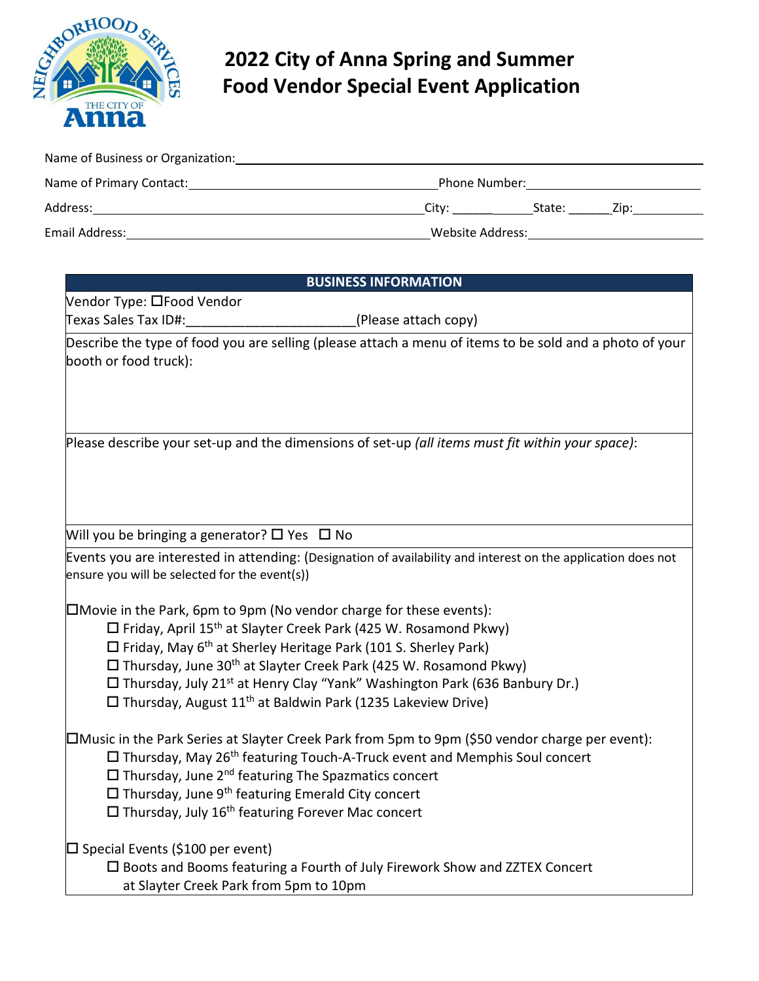

# **2022 City of Anna Spring and Summer Food Vendor Special Event Application**

| Name of Business or Organization: |                         |        |      |  |
|-----------------------------------|-------------------------|--------|------|--|
| Name of Primary Contact:          | Phone Number:           |        |      |  |
| Address:                          | Citv:                   | State: | Zip: |  |
| <b>Email Address:</b>             | <b>Website Address:</b> |        |      |  |

| <b>BUSINESS INFORMATION</b>                                                                                                                                                                                                                                                                                                                                                                                               |  |  |  |  |
|---------------------------------------------------------------------------------------------------------------------------------------------------------------------------------------------------------------------------------------------------------------------------------------------------------------------------------------------------------------------------------------------------------------------------|--|--|--|--|
| Vendor Type: □Food Vendor                                                                                                                                                                                                                                                                                                                                                                                                 |  |  |  |  |
| Texas Sales Tax ID#:<br>(Please attach copy)                                                                                                                                                                                                                                                                                                                                                                              |  |  |  |  |
| Describe the type of food you are selling (please attach a menu of items to be sold and a photo of your<br>booth or food truck):                                                                                                                                                                                                                                                                                          |  |  |  |  |
| Please describe your set-up and the dimensions of set-up (all items must fit within your space):                                                                                                                                                                                                                                                                                                                          |  |  |  |  |
| Will you be bringing a generator? $\Box$ Yes $\Box$ No                                                                                                                                                                                                                                                                                                                                                                    |  |  |  |  |
|                                                                                                                                                                                                                                                                                                                                                                                                                           |  |  |  |  |
| Events you are interested in attending: (Designation of availability and interest on the application does not<br>ensure you will be selected for the event(s))                                                                                                                                                                                                                                                            |  |  |  |  |
| □Movie in the Park, 6pm to 9pm (No vendor charge for these events):                                                                                                                                                                                                                                                                                                                                                       |  |  |  |  |
| □ Friday, April 15 <sup>th</sup> at Slayter Creek Park (425 W. Rosamond Pkwy)                                                                                                                                                                                                                                                                                                                                             |  |  |  |  |
| □ Friday, May 6 <sup>th</sup> at Sherley Heritage Park (101 S. Sherley Park)                                                                                                                                                                                                                                                                                                                                              |  |  |  |  |
| □ Thursday, June 30 <sup>th</sup> at Slayter Creek Park (425 W. Rosamond Pkwy)                                                                                                                                                                                                                                                                                                                                            |  |  |  |  |
| □ Thursday, July 21 <sup>st</sup> at Henry Clay "Yank" Washington Park (636 Banbury Dr.)                                                                                                                                                                                                                                                                                                                                  |  |  |  |  |
| $\Box$ Thursday, August 11 <sup>th</sup> at Baldwin Park (1235 Lakeview Drive)                                                                                                                                                                                                                                                                                                                                            |  |  |  |  |
| □Music in the Park Series at Slayter Creek Park from 5pm to 9pm (\$50 vendor charge per event):<br>$\Box$ Thursday, May 26 <sup>th</sup> featuring Touch-A-Truck event and Memphis Soul concert<br>$\Box$ Thursday, June 2 <sup>nd</sup> featuring The Spazmatics concert<br>$\Box$ Thursday, June 9 <sup>th</sup> featuring Emerald City concert<br>$\Box$ Thursday, July 16 <sup>th</sup> featuring Forever Mac concert |  |  |  |  |
| $\square$ Special Events (\$100 per event)                                                                                                                                                                                                                                                                                                                                                                                |  |  |  |  |
| $\square$ Boots and Booms featuring a Fourth of July Firework Show and ZZTEX Concert                                                                                                                                                                                                                                                                                                                                      |  |  |  |  |
| at Slayter Creek Park from 5pm to 10pm                                                                                                                                                                                                                                                                                                                                                                                    |  |  |  |  |